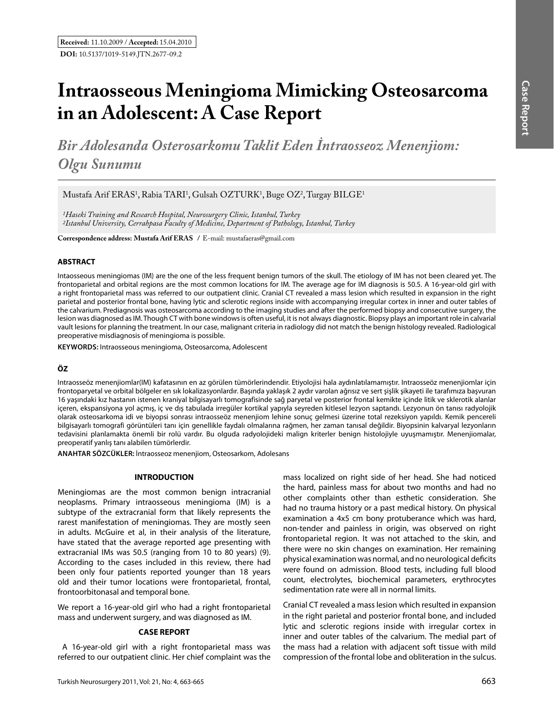# **Intraosseous Meningioma Mimicking Osteosarcoma in an Adolescent: A Case Report**

*Bir Adolesanda Osterosarkomu Taklit Eden İntraosseoz Menenjiom: Olgu Sunumu*

Mustafa Arif ERAS<sup>1</sup>, Rabia TARI<sup>1</sup>, Gulsah OZTURK<sup>1</sup>, Buge OZ<sup>2</sup>, Turgay BILGE<sup>1</sup>

*1Haseki Training and Research Hospital, Neurosurgery Clinic, Istanbul, Turkey 2Istanbul University, Cerrahpasa Faculty of Medicine, Department of Pathology, Istanbul, Turkey*

**Correspondence address: Mustafa Arif Eras /** E-mail: mustafaeras@gmail.com

# **ABSTRACT**

Intaosseous meningiomas (IM) are the one of the less frequent benign tumors of the skull. The etiology of IM has not been cleared yet. The frontoparietal and orbital regions are the most common locations for IM. The average age for IM diagnosis is 50.5. A 16-year-old girl with a right frontoparietal mass was referred to our outpatient clinic. Cranial CT revealed a mass lesion which resulted in expansion in the right parietal and posterior frontal bone, having lytic and sclerotic regions inside with accompanying irregular cortex in inner and outer tables of the calvarium. Prediagnosis was osteosarcoma according to the imaging studies and after the performed biopsy and consecutive surgery, the lesion was diagnosed as IM. Though CT with bone windows is often useful, it is not always diagnostic. Biopsy plays an important role in calvarial vault lesions for planning the treatment. In our case, malignant criteria in radiology did not match the benign histology revealed. Radiological preoperative misdiagnosis of meningioma is possible.

**Keywords:** Intraosseous meningioma, Osteosarcoma, Adolescent

# **ÖZ**

Intraosseöz menenjiomlar(IM) kafatasının en az görülen tümörlerindendir. Etiyolojisi hala aydınlatılamamıştır. Intraosseöz menenjiomlar için frontoparyetal ve orbital bölgeler en sık lokalizasyonlardır. Başında yaklaşık 2 aydır varolan ağrısız ve sert şişlik şikayeti ile tarafımıza başvuran 16 yaşındaki kız hastanın istenen kraniyal bilgisayarlı tomografisinde sağ paryetal ve posterior frontal kemikte içinde litik ve sklerotik alanlar içeren, ekspansiyona yol açmış, iç ve dış tabulada irregüler kortikal yapıyla seyreden kitlesel lezyon saptandı. Lezyonun ön tanısı radyolojik olarak osteosarkoma idi ve biyopsi sonrası intraosseöz menenjiom lehine sonuç gelmesi üzerine total rezeksiyon yapıldı. Kemik pencereli bilgisayarlı tomografi görüntüleri tanı için genellikle faydalı olmalarına rağmen, her zaman tanısal değildir. Biyopsinin kalvaryal lezyonların tedavisini planlamakta önemli bir rolü vardır. Bu olguda radyolojideki malign kriterler benign histolojiyle uyuşmamıştır. Menenjiomalar, preoperatif yanlış tanı alabilen tümörlerdir.

**ANAHTAR SÖZCÜKLER:** İntraosseoz menenjiom, Osteosarkom, Adolesans

#### **INTRODUCTION**

Meningiomas are the most common benign intracranial neoplasms. Primary intraosseous meningioma (IM) is a subtype of the extracranial form that likely represents the rarest manifestation of meningiomas. They are mostly seen in adults. McGuire et al, in their analysis of the literature, have stated that the average reported age presenting with extracranial IMs was 50.5 (ranging from 10 to 80 years) (9). According to the cases included in this review, there had been only four patients reported younger than 18 years old and their tumor locations were frontoparietal, frontal, frontoorbitonasal and temporal bone.

We report a 16-year-old girl who had a right frontoparietal mass and underwent surgery, and was diagnosed as IM.

#### **CASE REPORT**

 A 16-year-old girl with a right frontoparietal mass was referred to our outpatient clinic. Her chief complaint was the

mass localized on right side of her head. She had noticed the hard, painless mass for about two months and had no other complaints other than esthetic consideration. She had no trauma history or a past medical history. On physical examination a 4x5 cm bony protuberance which was hard, non-tender and painless in origin, was observed on right frontoparietal region. It was not attached to the skin, and there were no skin changes on examination. Her remaining physical examination was normal, and no neurological deficits were found on admission. Blood tests, including full blood count, electrolytes, biochemical parameters, erythrocytes sedimentation rate were all in normal limits.

Cranial CT revealed a mass lesion which resulted in expansion in the right parietal and posterior frontal bone, and included lytic and sclerotic regions inside with irregular cortex in inner and outer tables of the calvarium. The medial part of the mass had a relation with adjacent soft tissue with mild compression of the frontal lobe and obliteration in the sulcus.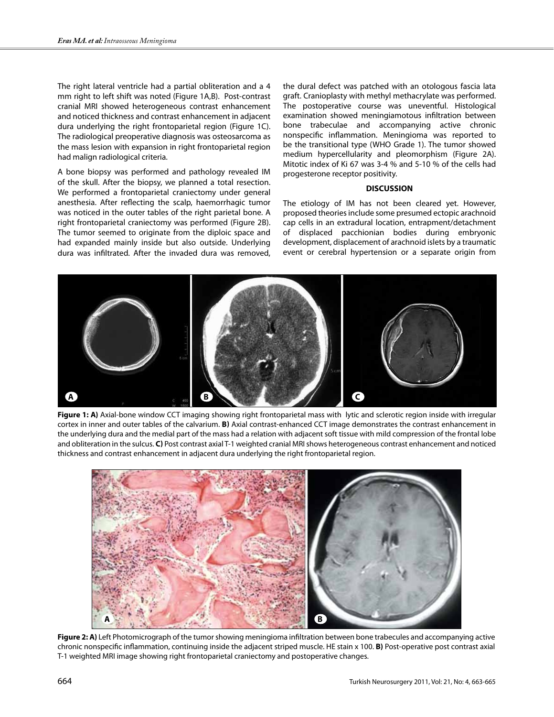The right lateral ventricle had a partial obliteration and a 4 mm right to left shift was noted (Figure 1A,B). Post-contrast cranial MRI showed heterogeneous contrast enhancement and noticed thickness and contrast enhancement in adjacent dura underlying the right frontoparietal region (Figure 1C). The radiological preoperative diagnosis was osteosarcoma as the mass lesion with expansion in right frontoparietal region had malign radiological criteria.

A bone biopsy was performed and pathology revealed IM of the skull. After the biopsy, we planned a total resection. We performed a frontoparietal craniectomy under general anesthesia. After reflecting the scalp, haemorrhagic tumor was noticed in the outer tables of the right parietal bone. A right frontoparietal craniectomy was performed (Figure 2B). The tumor seemed to originate from the diploic space and had expanded mainly inside but also outside. Underlying dura was infiltrated. After the invaded dura was removed,

the dural defect was patched with an otologous fascia lata graft. Cranioplasty with methyl methacrylate was performed. The postoperative course was uneventful. Histological examination showed meningiamotous infiltration between bone trabeculae and accompanying active chronic nonspecific inflammation. Meningioma was reported to be the transitional type (WHO Grade 1). The tumor showed medium hypercellularity and pleomorphism (Figure 2A). Mitotic index of Ki 67 was 3-4 % and 5-10 % of the cells had progesterone receptor positivity.

## **DISCUSSION**

The etiology of IM has not been cleared yet. However, proposed theories include some presumed ectopic arachnoid cap cells in an extradural location, entrapment/detachment of displaced pacchionian bodies during embryonic development, displacement of arachnoid islets by a traumatic event or cerebral hypertension or a separate origin from



Figure 1: A) Axial-bone window CCT imaging showing right frontoparietal mass with lytic and sclerotic region inside with irregular cortex in inner and outer tables of the calvarium. **b)** Axial contrast-enhanced CCT image demonstrates the contrast enhancement in the underlying dura and the medial part of the mass had a relation with adjacent soft tissue with mild compression of the frontal lobe and obliteration in the sulcus. **c)** Post contrast axial T-1 weighted cranial MRI shows heterogeneous contrast enhancement and noticed thickness and contrast enhancement in adjacent dura underlying the right frontoparietal region.



**Figure 2: A)** Left Photomicrograph of the tumor showing meningioma infiltration between bone trabecules and accompanying active chronic nonspecific inflammation, continuing inside the adjacent striped muscle. HE stain x 100. **B)** Post-operative post contrast axial T-1 weighted MRI image showing right frontoparietal craniectomy and postoperative changes.